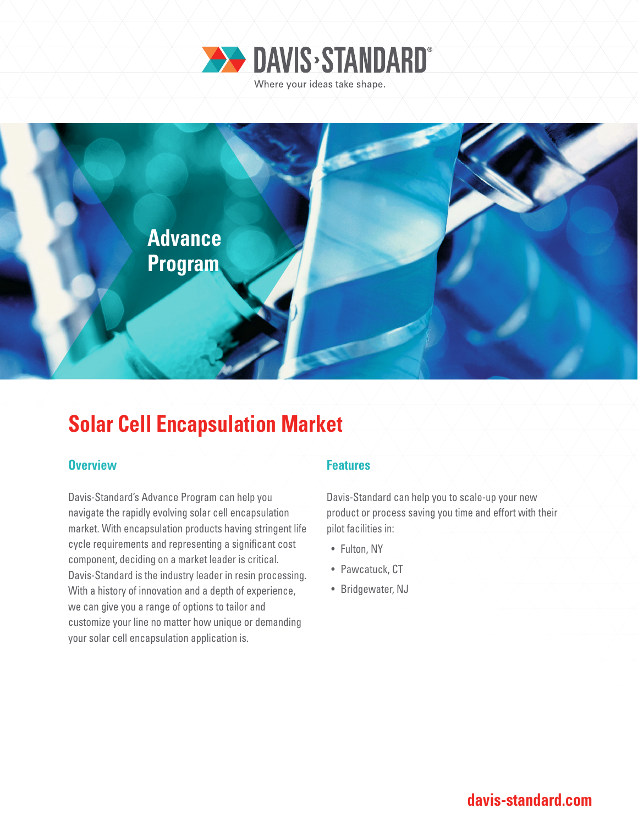



# **Solar Cell Encapsulation Market**

### **Overview Allen Accept Accept Accept Accept Features**

Davis-Standard's Advance Program can help you navigate the rapidly evolving solar cell encapsulation market. With encapsulation products having stringent life cycle requirements and representing a significant cost component, deciding on a market leader is critical. Davis-Standard is the industry leader in resin processing. With a history of innovation and a depth of experience, we can give you a range of options to tailor and customize your line no matter how unique or demanding your solar cell encapsulation application is.

Davis-Standard can help you to scale-up your new product or process saving you time and effort with their pilot facilities in:

- Fulton, NY
- Pawcatuck, CT
- Bridgewater, NJ